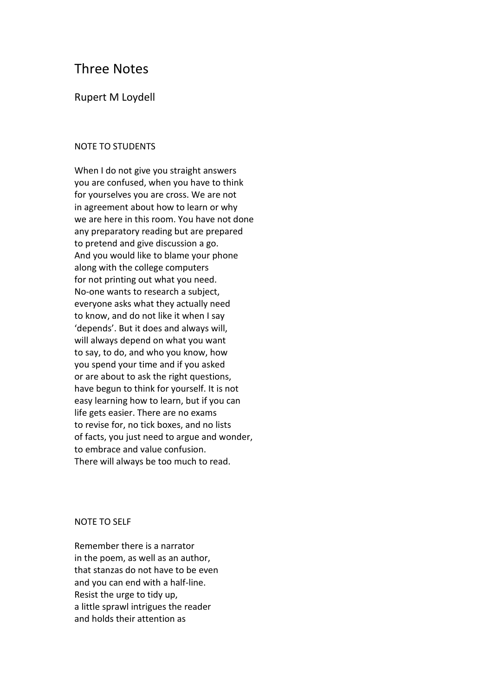# Three Notes

# Rupert M Loydell

# NOTE TO STUDENTS

When I do not give you straight answers you are confused, when you have to think for yourselves you are cross. We are not in agreement about how to learn or why we are here in this room. You have not done any preparatory reading but are prepared to pretend and give discussion a go. And you would like to blame your phone along with the college computers for not printing out what you need. No-one wants to research a subject, everyone asks what they actually need to know, and do not like it when I say 'depends'. But it does and always will, will always depend on what you want to say, to do, and who you know, how you spend your time and if you asked or are about to ask the right questions, have begun to think for yourself. It is not easy learning how to learn, but if you can life gets easier. There are no exams to revise for, no tick boxes, and no lists of facts, you just need to argue and wonder, to embrace and value confusion. There will always be too much to read.

#### NOTE TO SELF

Remember there is a narrator in the poem, as well as an author, that stanzas do not have to be even and you can end with a half-line. Resist the urge to tidy up, a little sprawl intrigues the reader and holds their attention as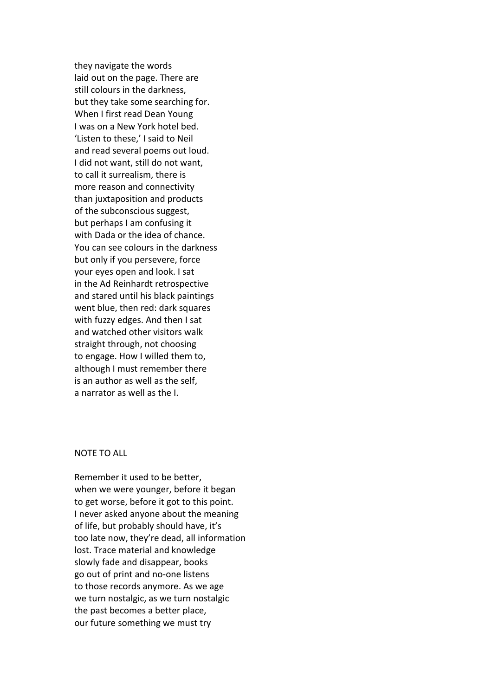they navigate the words laid out on the page. There are still colours in the darkness, but they take some searching for. When I first read Dean Young I was on a New York hotel bed. 'Listen to these,' I said to Neil and read several poems out loud. I did not want, still do not want, to call it surrealism, there is more reason and connectivity than juxtaposition and products of the subconscious suggest, but perhaps I am confusing it with Dada or the idea of chance. You can see colours in the darkness but only if you persevere, force your eyes open and look. I sat in the Ad Reinhardt retrospective and stared until his black paintings went blue, then red: dark squares with fuzzy edges. And then I sat and watched other visitors walk straight through, not choosing to engage. How I willed them to, although I must remember there is an author as well as the self, a narrator as well as the I.

# NOTE TO ALL

Remember it used to be better, when we were younger, before it began to get worse, before it got to this point. I never asked anyone about the meaning of life, but probably should have, it's too late now, they're dead, all information lost. Trace material and knowledge slowly fade and disappear, books go out of print and no-one listens to those records anymore. As we age we turn nostalgic, as we turn nostalgic the past becomes a better place, our future something we must try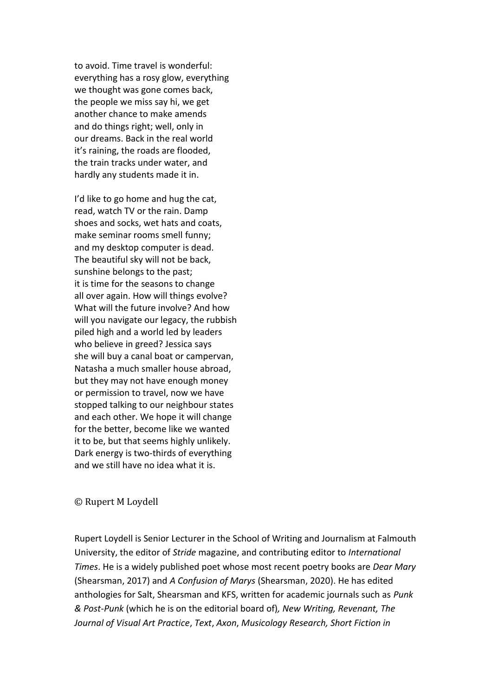to avoid. Time travel is wonderful: everything has a rosy glow, everything we thought was gone comes back, the people we miss say hi, we get another chance to make amends and do things right; well, only in our dreams. Back in the real world it's raining, the roads are flooded, the train tracks under water, and hardly any students made it in.

I'd like to go home and hug the cat, read, watch TV or the rain. Damp shoes and socks, wet hats and coats, make seminar rooms smell funny; and my desktop computer is dead. The beautiful sky will not be back, sunshine belongs to the past; it is time for the seasons to change all over again. How will things evolve? What will the future involve? And how will you navigate our legacy, the rubbish piled high and a world led by leaders who believe in greed? Jessica says she will buy a canal boat or campervan, Natasha a much smaller house abroad, but they may not have enough money or permission to travel, now we have stopped talking to our neighbour states and each other. We hope it will change for the better, become like we wanted it to be, but that seems highly unlikely. Dark energy is two-thirds of everything and we still have no idea what it is.

## © Rupert M Loydell

Rupert Loydell is Senior Lecturer in the School of Writing and Journalism at Falmouth University, the editor of *Stride* magazine, and contributing editor to *International Times*. He is a widely published poet whose most recent poetry books are *Dear Mary* (Shearsman, 2017) and *A Confusion of Marys* (Shearsman, 2020). He has edited anthologies for Salt, Shearsman and KFS, written for academic journals such as *Punk & Post-Punk* (which he is on the editorial board of)*, New Writing, Revenant, The Journal of Visual Art Practice*, *Text*, *Axon*, *Musicology Research, Short Fiction in*